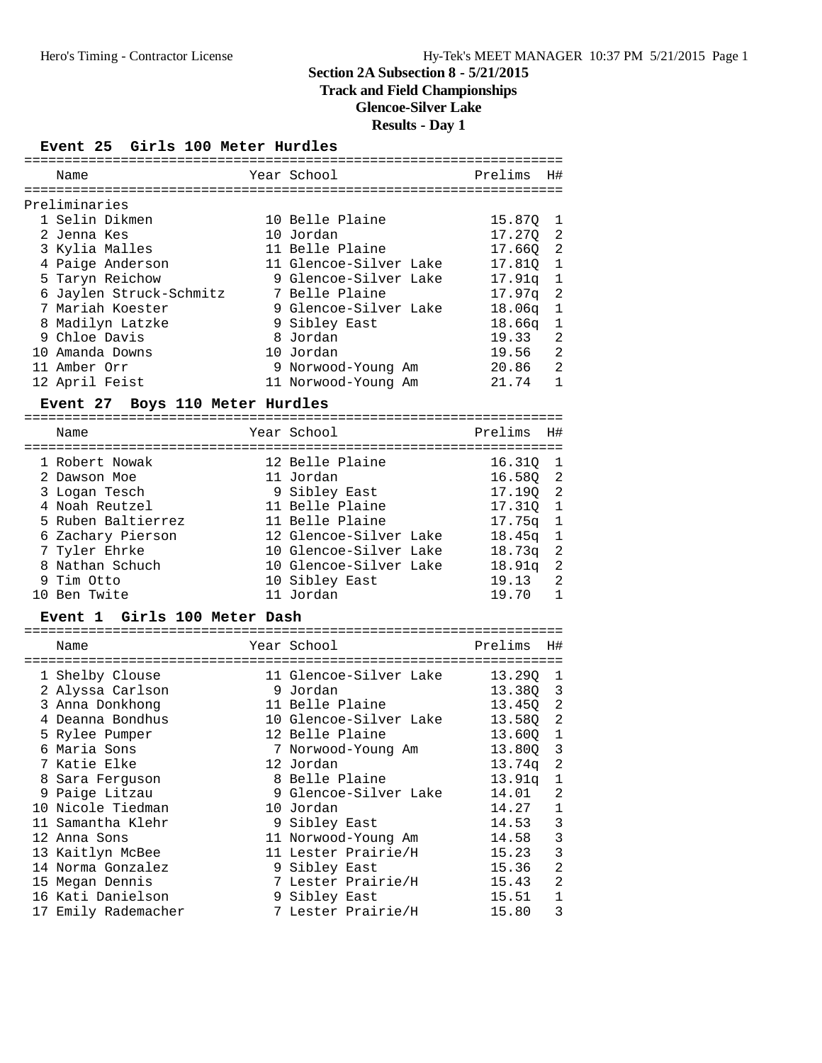# **Track and Field Championships**

**Glencoe-Silver Lake**

# **Results - Day 1**

#### **Event 25 Girls 100 Meter Hurdles**

|  | Name                    | Year School            | Prelims    | H#             |
|--|-------------------------|------------------------|------------|----------------|
|  | Preliminaries           |                        |            |                |
|  | 1 Selin Dikmen          | 10 Belle Plaine        | 15.870 1   |                |
|  | 2 Jenna Kes             | 10 Jordan              | 17.270 2   |                |
|  | 3 Kylia Malles          | 11 Belle Plaine        | 17.660 2   |                |
|  | 4 Paige Anderson        | 11 Glencoe-Silver Lake | 17.810 1   |                |
|  | 5 Taryn Reichow         | 9 Glencoe-Silver Lake  | $17.91q$ 1 |                |
|  | 6 Jaylen Struck-Schmitz | 7 Belle Plaine         | 17.97q     | -2             |
|  | 7 Mariah Koester        | 9 Glencoe-Silver Lake  | $18.06q$ 1 |                |
|  | 8 Madilyn Latzke        | 9 Sibley East          | 18.66a     | $\overline{1}$ |
|  | 9 Chloe Davis           | 8 Jordan               | 19.33      | 2              |
|  | 10 Amanda Downs         | 10 Jordan              | 19.56 2    |                |
|  | 11 Amber Orr            | 9 Norwood-Young Am     | 20.86 2    |                |
|  | 12 April Feist          | 11 Norwood-Young Am    | 21.74      | 1              |
|  |                         |                        |            |                |

#### **Event 27 Boys 110 Meter Hurdles**

| Name               | Year School            | Prelims  | H#                         |
|--------------------|------------------------|----------|----------------------------|
| 1 Robert Nowak     | 12 Belle Plaine        | 16.310   | $\overline{1}$             |
| 2 Dawson Moe       | 11 Jordan              | 16.580 2 |                            |
| 3 Logan Tesch      | 9 Sibley East          | 17.190 2 |                            |
| 4 Noah Reutzel     | 11 Belle Plaine        | 17.310 1 |                            |
| 5 Ruben Baltierrez | 11 Belle Plaine        | 17.75a   | $\mathbf{1}$               |
| 6 Zachary Pierson  | 12 Glencoe-Silver Lake | 18.45a   | $\overline{1}$             |
| 7 Tyler Ehrke      | 10 Glencoe-Silver Lake | 18.73q   | $\overline{\phantom{0}}^2$ |
| 8 Nathan Schuch    | 10 Glencoe-Silver Lake | 18.91a   | $\overline{\phantom{0}}^2$ |
| 9 Tim Otto         | 10 Sibley East         | 19.13    | $\overline{\phantom{0}}^2$ |
| 10 Ben Twite       | 11 Jordan              | 19.70    | 1                          |

#### **Event 1 Girls 100 Meter Dash**

| Name                | Year School            | Prelims  | H#             |
|---------------------|------------------------|----------|----------------|
| 1 Shelby Clouse     | 11 Glencoe-Silver Lake | 13.290   | 1              |
| 2 Alyssa Carlson    | 9 Jordan               | 13.38Q 3 |                |
| 3 Anna Donkhong     | 11 Belle Plaine        | 13.450   | $\overline{c}$ |
| 4 Deanna Bondhus    | 10 Glencoe-Silver Lake | 13.580   | $\overline{2}$ |
| 5 Rylee Pumper      | 12 Belle Plaine        | 13.600   | $\mathbf{1}$   |
| 6 Maria Sons        | 7 Norwood-Young Am     | 13.80Q 3 |                |
| 7 Katie Elke        | 12 Jordan              | 13.74q   | $\overline{c}$ |
| 8 Sara Ferquson     | 8 Belle Plaine         | 13.91a   | 1              |
| 9 Paige Litzau      | 9 Glencoe-Silver Lake  | 14.01    | 2              |
| 10 Nicole Tiedman   | 10 Jordan              | 14.27    | $\mathbf 1$    |
| 11 Samantha Klehr   | 9 Sibley East          | 14.53    | 3              |
| 12 Anna Sons        | 11 Norwood-Young Am    | 14.58    | 3              |
| 13 Kaitlyn McBee    | 11 Lester Prairie/H    | 15.23    | $\mathbf{3}$   |
| 14 Norma Gonzalez   | 9 Sibley East          | 15.36    | $\overline{c}$ |
| 15 Megan Dennis     | 7 Lester Prairie/H     | 15.43    | 2              |
| 16 Kati Danielson   | 9 Sibley East          | 15.51    | $\mathbf 1$    |
| 17 Emily Rademacher | 7 Lester Prairie/H     | 15.80    | 3              |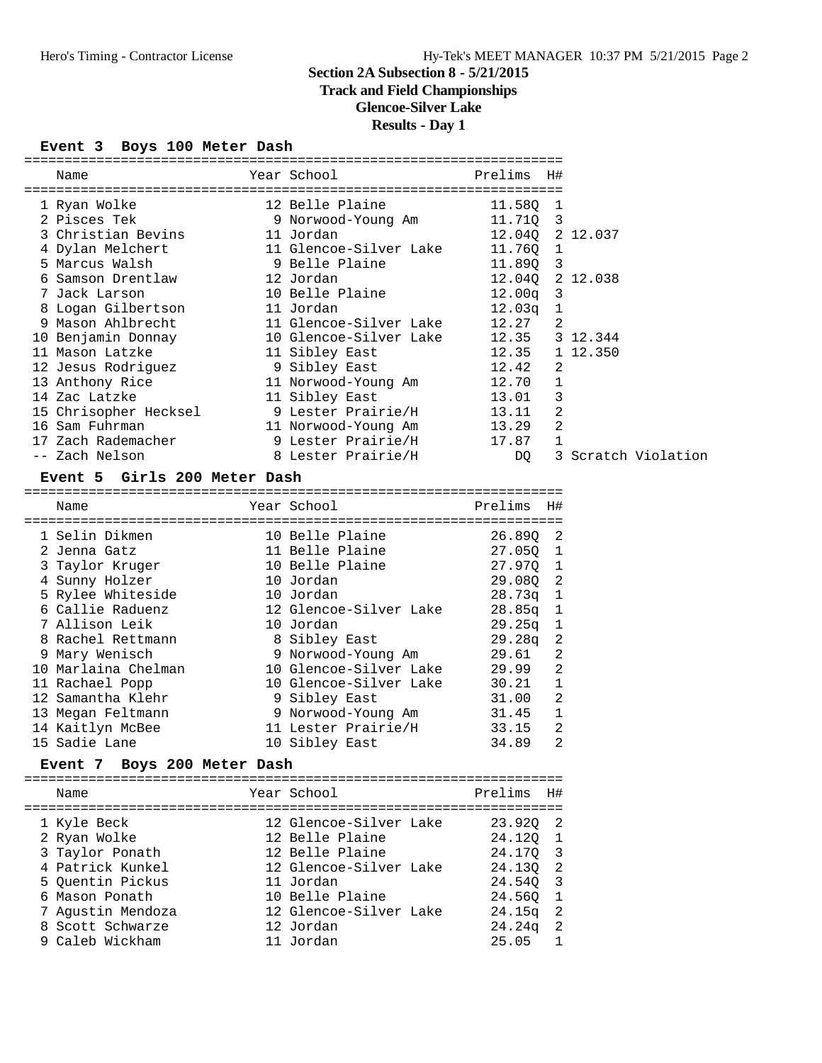# **Track and Field Championships**

# **Glencoe-Silver Lake**

### **Results - Day 1**

### **Event 3 Boys 100 Meter Dash**

| Name                                                             |                                                               |                 |   |                     |  |
|------------------------------------------------------------------|---------------------------------------------------------------|-----------------|---|---------------------|--|
| ====================<br>1 Ryan Wolke                             | =================================<br>12 Belle Plaine 11.580 1 |                 |   |                     |  |
| 2 Pisces Tek                                                     |                                                               |                 |   |                     |  |
| 3 Christian Bevins                                               | 11 Jordan                                                     | 12.040 2 12.037 |   |                     |  |
| 4 Dylan Melchert 11 Glencoe-Silver Lake 11.760 1                 |                                                               |                 |   |                     |  |
| 5 Marcus Walsh                                                   | 9 Belle Plaine 11.89Q 3                                       |                 |   |                     |  |
| 6 Samson Drentlaw                                                | 12 Jordan                                                     | 12.040 2 12.038 |   |                     |  |
| 7 Jack Larson                                                    | 10 Belle Plaine                                               | $12.00q$ 3      |   |                     |  |
| 8 Logan Gilbertson                                               | 11 Jordan                                                     | $12.03q$ 1      |   |                     |  |
| 9 Mason Ahlbrecht                         11 Glencoe-Silver Lake |                                                               | 12.27           | 2 |                     |  |
| 10 Benjamin Donnay                                               | 10 Glencoe-Silver Lake 12.35 3 12.344                         |                 |   |                     |  |
| 11 Mason Latzke                                                  | 12.35 1 12.350<br>11 Sibley East                              |                 |   |                     |  |
| 12 Jesus Rodriguez                                               | 9 Sibley East                                                 | 12.42           | 2 |                     |  |
| 13 Anthony Rice 11 Norwood-Young Am 12.70                        |                                                               |                 | 1 |                     |  |
| 14 Zac Latzke                                                    | 13.01<br>11 Sibley East                                       |                 | 3 |                     |  |
| 15 Chrisopher Hecksel 9 Lester Prairie/H 13.11                   |                                                               |                 | 2 |                     |  |
| 16 Sam Fuhrman                                                   | 11 Norwood-Young Am                                           | 13.29           | 2 |                     |  |
| 17 Zach Rademacher                                               | 9 Lester Prairie/H                                            | 17.87           |   |                     |  |
| -- Zach Nelson                                                   | 8 Lester Prairie/H                                            | DQ              |   | 3 Scratch Violation |  |

#### **Event 5 Girls 200 Meter Dash**

| Name                |  | Prelims                                                                                                                                                                                                                                                                                                          | H# |
|---------------------|--|------------------------------------------------------------------------------------------------------------------------------------------------------------------------------------------------------------------------------------------------------------------------------------------------------------------|----|
|                     |  |                                                                                                                                                                                                                                                                                                                  |    |
| 1 Selin Dikmen      |  | 26.890 2                                                                                                                                                                                                                                                                                                         |    |
| 2 Jenna Gatz        |  | 27.050 1                                                                                                                                                                                                                                                                                                         |    |
| 3 Taylor Kruger     |  | 27.970 1                                                                                                                                                                                                                                                                                                         |    |
| 4 Sunny Holzer      |  | 29.080 2                                                                                                                                                                                                                                                                                                         |    |
| 5 Rylee Whiteside   |  | $28.73q$ 1                                                                                                                                                                                                                                                                                                       |    |
| 6 Callie Raduenz    |  | $28.85q$ 1                                                                                                                                                                                                                                                                                                       |    |
| 7 Allison Leik      |  | $29.25q$ 1                                                                                                                                                                                                                                                                                                       |    |
| 8 Rachel Rettmann   |  | $29.28q$ 2                                                                                                                                                                                                                                                                                                       |    |
| 9 Mary Wenisch      |  | 29.61                                                                                                                                                                                                                                                                                                            | -2 |
| 10 Marlaina Chelman |  | 29.99                                                                                                                                                                                                                                                                                                            | -2 |
| 11 Rachael Popp     |  | 30.21                                                                                                                                                                                                                                                                                                            | 1  |
| 12 Samantha Klehr   |  | 31.00                                                                                                                                                                                                                                                                                                            | -2 |
| 13 Megan Feltmann   |  | 31.45                                                                                                                                                                                                                                                                                                            | 1  |
| 14 Kaitlyn McBee    |  | 33.15                                                                                                                                                                                                                                                                                                            | 2  |
| 15 Sadie Lane       |  | 34.89                                                                                                                                                                                                                                                                                                            | 2  |
|                     |  | Year School<br>10 Belle Plaine<br>11 Belle Plaine<br>10 Belle Plaine<br>10 Jordan<br>10 Jordan<br>12 Glencoe-Silver Lake<br>10 Jordan<br>8 Sibley East<br>9 Norwood-Young Am<br>10 Glencoe-Silver Lake<br>10 Glencoe-Silver Lake<br>9 Sibley East<br>9 Norwood-Young Am<br>11 Lester Prairie/H<br>10 Sibley East |    |

### **Event 7 Boys 200 Meter Dash**

| Name                                                                                                                                              | Year School                                                                                                                                                   | Prelims                                                                                | H#                                      |
|---------------------------------------------------------------------------------------------------------------------------------------------------|---------------------------------------------------------------------------------------------------------------------------------------------------------------|----------------------------------------------------------------------------------------|-----------------------------------------|
| 1 Kyle Beck<br>2 Ryan Wolke<br>3 Taylor Ponath<br>4 Patrick Kunkel<br>5 Ouentin Pickus<br>6 Mason Ponath<br>7 Agustin Mendoza<br>8 Scott Schwarze | 12 Glencoe-Silver Lake<br>12 Belle Plaine<br>12 Belle Plaine<br>12 Glencoe-Silver Lake<br>11 Jordan<br>10 Belle Plaine<br>12 Glencoe-Silver Lake<br>12 Jordan | 23.920 2<br>24.120 1<br>24.170 3<br>24.130 2<br>24.540 3<br>24.560<br>24.15g<br>24.24q | - 1<br>$\overline{2}$<br>$\overline{2}$ |
| 9 Caleb Wickham                                                                                                                                   | 11 Jordan                                                                                                                                                     | 25.05                                                                                  |                                         |
|                                                                                                                                                   |                                                                                                                                                               |                                                                                        |                                         |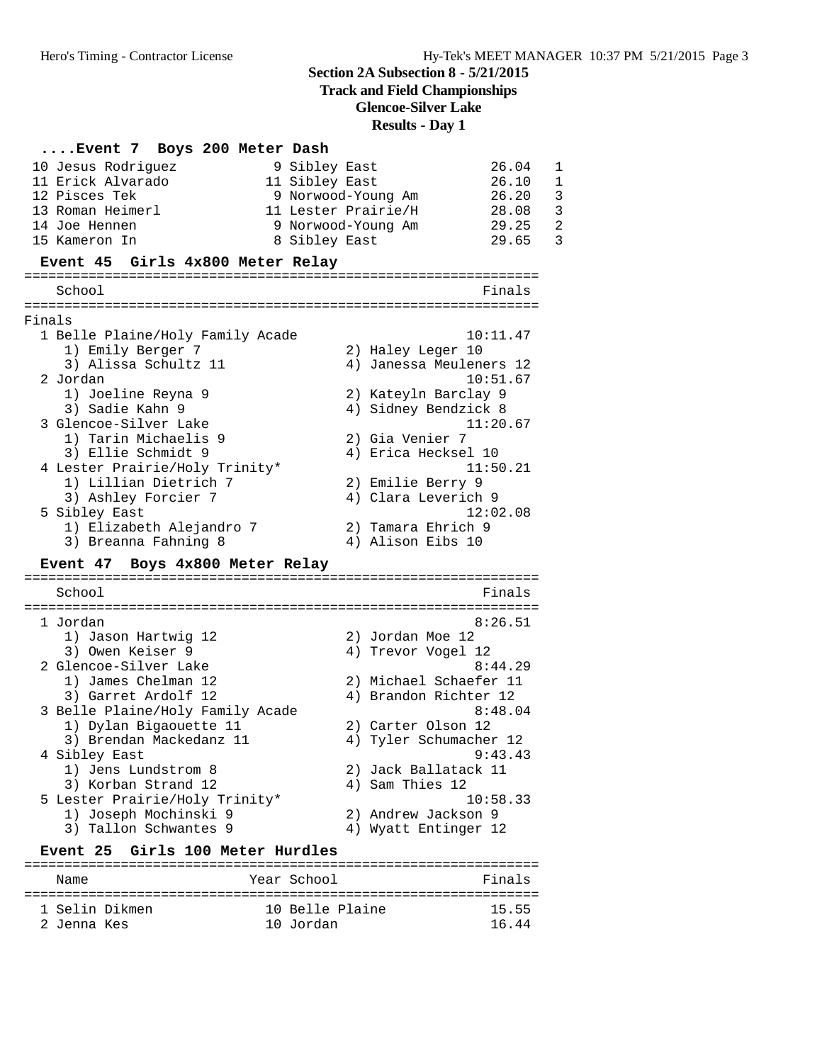**Track and Field Championships**

**Glencoe-Silver Lake**

### **Results - Day 1**

#### **....Event 7 Boys 200 Meter Dash**

|        | 10 Jesus Rodriguez<br>11 Erick Alvarado<br>12 Pisces Tek<br>13 Roman Heimerl<br>14 Joe Hennen<br>15 Kameron In | 26.04<br>9 Sibley East<br>1<br>$\mathbf{1}$<br>11 Sibley East<br>26.10<br>$\overline{3}$<br>26.20<br>9 Norwood-Young Am<br>$\overline{3}$<br>11 Lester Prairie/H<br>28.08<br>$\overline{2}$<br>29.25<br>9 Norwood-Young Am<br>3<br>29.65<br>8 Sibley East |
|--------|----------------------------------------------------------------------------------------------------------------|-----------------------------------------------------------------------------------------------------------------------------------------------------------------------------------------------------------------------------------------------------------|
|        | Event 45 Girls 4x800 Meter Relay                                                                               |                                                                                                                                                                                                                                                           |
|        | School                                                                                                         | Finals                                                                                                                                                                                                                                                    |
|        |                                                                                                                | =========================                                                                                                                                                                                                                                 |
| Finals |                                                                                                                |                                                                                                                                                                                                                                                           |
|        | 1 Belle Plaine/Holy Family Acade                                                                               | 10:11.47                                                                                                                                                                                                                                                  |
|        | 1) Emily Berger 7                                                                                              | 2) Haley Leger 10                                                                                                                                                                                                                                         |
|        | 3) Alissa Schultz 11                                                                                           | 4) Janessa Meuleners 12                                                                                                                                                                                                                                   |
|        | 2 Jordan                                                                                                       | 10:51.67                                                                                                                                                                                                                                                  |
|        | 1) Joeline Reyna 9                                                                                             | 2) Kateyln Barclay 9                                                                                                                                                                                                                                      |
|        | 3) Sadie Kahn 9                                                                                                | 4) Sidney Bendzick 8                                                                                                                                                                                                                                      |
|        | 3 Glencoe-Silver Lake                                                                                          | 11:20.67                                                                                                                                                                                                                                                  |
|        | 1) Tarin Michaelis 9                                                                                           | 2) Gia Venier 7                                                                                                                                                                                                                                           |
|        | 3) Ellie Schmidt 9                                                                                             | 4) Erica Hecksel 10                                                                                                                                                                                                                                       |
|        | 4 Lester Prairie/Holy Trinity*                                                                                 | 11:50.21                                                                                                                                                                                                                                                  |
|        | 1) Lillian Dietrich 7                                                                                          | 2) Emilie Berry 9                                                                                                                                                                                                                                         |
|        | 3) Ashley Forcier 7                                                                                            | 4) Clara Leverich 9                                                                                                                                                                                                                                       |
|        | 5 Sibley East                                                                                                  | 12:02.08                                                                                                                                                                                                                                                  |
|        | 1) Elizabeth Alejandro 7                                                                                       | 2) Tamara Ehrich 9                                                                                                                                                                                                                                        |
|        | 3) Breanna Fahning 8                                                                                           | 4) Alison Eibs 10                                                                                                                                                                                                                                         |

#### **Event 47 Boys 4x800 Meter Relay**

================================================================ School Finals ================================================================ 1 Jordan 8:26.51 1) Jason Hartwig 12 2) Jordan Moe 12 3) Owen Keiser 9 19 10 10 10 10 12 2 Glencoe-Silver Lake 8:44.29 1) James Chelman 12 2) Michael Schaefer 11 3) Garret Ardolf 12 4) Brandon Richter 12 3 Belle Plaine/Holy Family Acade 8:48.04 1) Dylan Bigaouette 11 2) Carter Olson 12 3) Brendan Mackedanz 11 4) Tyler Schumacher 12 4 Sibley East 9:43.43 1) Jens Lundstrom 8 2) Jack Ballatack 11 3) Korban Strand 12 4) Sam Thies 12 5 Lester Prairie/Holy Trinity\* 10:58.33 1) Joseph Mochinski 9 2) Andrew Jackson 9 3) Tallon Schwantes 9 1988 1999 12

#### Event 25 Girls 100 Meter Hurdles

| Name           | Year School     | Finals |
|----------------|-----------------|--------|
| 1 Selin Dikmen | 10 Belle Plaine | 15.55  |
| 2 Jenna Kes    | 10 Jordan       | 16 44  |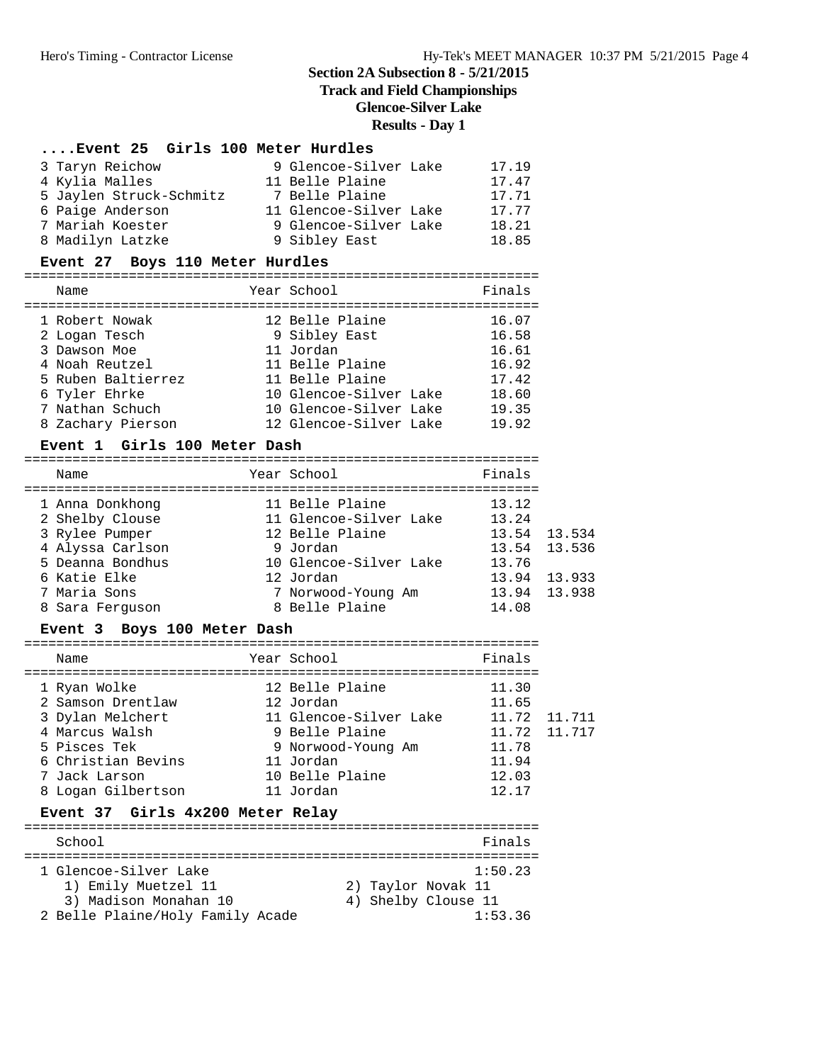# **Track and Field Championships**

# **Glencoe-Silver Lake**

### **Results - Day 1**

### **....Event 25 Girls 100 Meter Hurdles**

| 3 Taryn Reichow         | 9 Glencoe-Silver Lake  | 17.19 |
|-------------------------|------------------------|-------|
| 4 Kylia Malles          | 11 Belle Plaine        | 17.47 |
| 5 Jaylen Struck-Schmitz | 7 Belle Plaine         | 17.71 |
| 6 Paige Anderson        | 11 Glencoe-Silver Lake | 17.77 |
| 7 Mariah Koester        | 9 Glencoe-Silver Lake  | 18.21 |
| 8 Madilyn Latzke        | 9 Sibley East          | 18.85 |

#### **Event 27 Boys 110 Meter Hurdles**

| Finals<br>Year School<br>Name<br>12 Belle Plaine<br>16.07<br>1 Robert Nowak<br>9 Sibley East<br>2 Logan Tesch<br>11 Jordan<br>16.61<br>3 Dawson Moe<br>11 Belle Plaine<br>4 Noah Reutzel<br>11 Belle Plaine<br>5 Ruben Baltierrez<br>10 Glencoe-Silver Lake |               |  |                                           |
|-------------------------------------------------------------------------------------------------------------------------------------------------------------------------------------------------------------------------------------------------------------|---------------|--|-------------------------------------------|
|                                                                                                                                                                                                                                                             |               |  |                                           |
| 7 Nathan Schuch<br>10 Glencoe-Silver Lake<br>19.35<br>8 Zachary Pierson<br>12 Glencoe-Silver Lake                                                                                                                                                           | 6 Tyler Ehrke |  | 16.58<br>16.92<br>17.42<br>18.60<br>19.92 |

### **Event 1 Girls 100 Meter Dash**

| Name                                                                     | Year School                                                                 | Finals                           |                        |
|--------------------------------------------------------------------------|-----------------------------------------------------------------------------|----------------------------------|------------------------|
| 1 Anna Donkhong<br>2 Shelby Clouse<br>3 Rylee Pumper<br>4 Alyssa Carlson | 11 Belle Plaine<br>11 Glencoe-Silver Lake<br>12 Belle Plaine<br>9 Jordan    | 13.12<br>13.24<br>13.54          | 13.534<br>13.54 13.536 |
| 5 Deanna Bondhus<br>6 Katie Elke<br>7 Maria Sons<br>8 Sara Ferguson      | 10 Glencoe-Silver Lake<br>12 Jordan<br>7 Norwood-Young Am<br>8 Belle Plaine | 13.76<br>13.94<br>13.94<br>14.08 | 13.933<br>13.938       |
|                                                                          |                                                                             |                                  |                        |

#### **Event 3 Boys 100 Meter Dash**

| Name               | Year School            | Finals       |        |
|--------------------|------------------------|--------------|--------|
| 1 Ryan Wolke       | 12 Belle Plaine        | 11.30        |        |
| 2 Samson Drentlaw  | 12 Jordan              | 11.65        |        |
| 3 Dylan Melchert   | 11 Glencoe-Silver Lake | 11.72        | 11.711 |
| 4 Marcus Walsh     | 9 Belle Plaine         | 11.72 11.717 |        |
| 5 Pisces Tek       | 9 Norwood-Young Am     | 11.78        |        |
| 6 Christian Bevins | 11 Jordan              | 11.94        |        |
| 7 Jack Larson      | 10 Belle Plaine        | 12.03        |        |
| 8 Logan Gilbertson | 11 Jordan              | 12.17        |        |
|                    |                        |              |        |

# **Event 37 Girls 4x200 Meter Relay**

| School                                                                | Finals                                               |
|-----------------------------------------------------------------------|------------------------------------------------------|
| 1 Glencoe-Silver Lake<br>1) Emily Muetzel 11<br>3) Madison Monahan 10 | 1:50.23<br>2) Taylor Novak 11<br>4) Shelby Clouse 11 |
| 2 Belle Plaine/Holy Family Acade                                      | 1:53.36                                              |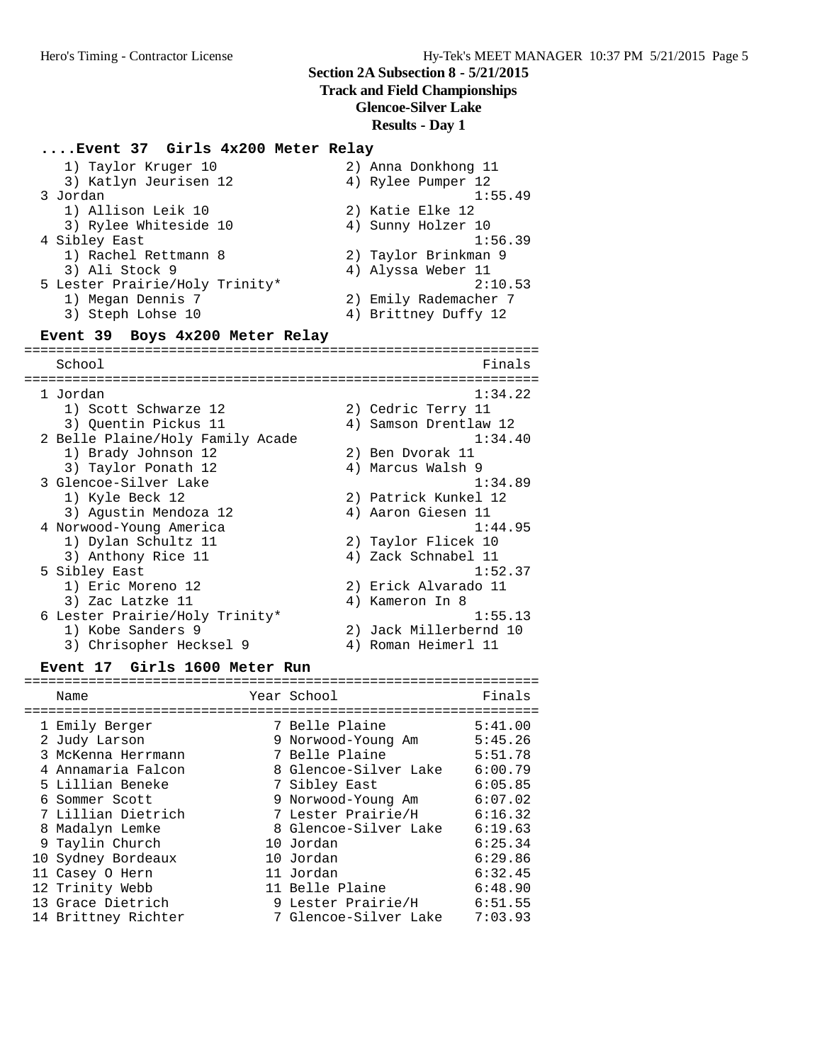# **Track and Field Championships**

**Glencoe-Silver Lake**

**Results - Day 1**

| Event 37 Girls 4x200 Meter Relay |                                            |
|----------------------------------|--------------------------------------------|
| 1) Taylor Kruger 10              | 2) Anna Donkhong 11                        |
| 3) Katlyn Jeurisen 12            | 4) Rylee Pumper 12                         |
| 3 Jordan                         | 1:55.49                                    |
| 1) Allison Leik 10               | 2) Katie Elke 12                           |
| 3) Rylee Whiteside 10            | 4) Sunny Holzer 10                         |
| 4 Sibley East                    | 1:56.39                                    |
| 1) Rachel Rettmann 8             | 2) Taylor Brinkman 9                       |
| 3) Ali Stock 9                   | 4) Alyssa Weber 11                         |
| 5 Lester Prairie/Holy Trinity*   | 2:10.53                                    |
| 1) Megan Dennis 7                | 2) Emily Rademacher 7                      |
| 3) Steph Lohse 10                | 4) Brittney Duffy 12                       |
| Event 39 Boys 4x200 Meter Relay  |                                            |
|                                  |                                            |
| School<br>===============        | Finals<br>-------------------------------- |
| 1 Jordan                         | 1:34.22                                    |
| 1) Scott Schwarze 12             | 2) Cedric Terry 11                         |
| 3) Quentin Pickus 11             | 4) Samson Drentlaw 12                      |
| 2 Belle Plaine/Holy Family Acade | 1:34.40                                    |
| 1) Brady Johnson 12              | 2) Ben Dvorak 11                           |
| 3) Taylor Ponath 12              | 4) Marcus Walsh 9                          |
| 3 Glencoe-Silver Lake            | 1:34.89                                    |
| 1) Kyle Beck 12                  | 2) Patrick Kunkel 12                       |
| 3) Agustin Mendoza 12            | 4) Aaron Giesen 11                         |
| 4 Norwood-Young America          |                                            |
|                                  | 1:44.95                                    |
| 1) Dylan Schultz 11              | 2) Taylor Flicek 10                        |
| 3) Anthony Rice 11               | 4) Zack Schnabel 11                        |
| 5 Sibley East                    | 1:52.37                                    |
| 1) Eric Moreno 12                | 2) Erick Alvarado 11                       |
| 3) Zac Latzke 11                 | 4) Kameron In 8                            |
| 6 Lester Prairie/Holy Trinity*   | 1:55.13                                    |
| 1) Kobe Sanders 9                | 2) Jack Millerbernd 10                     |

### **Event 17 Girls 1600 Meter Run**

|  | Name                | Year School           | Finals  |
|--|---------------------|-----------------------|---------|
|  |                     |                       |         |
|  | 1 Emily Berger      | 7 Belle Plaine        | 5:41.00 |
|  | 2 Judy Larson       | 9 Norwood-Young Am    | 5:45.26 |
|  | 3 McKenna Herrmann  | 7 Belle Plaine        | 5:51.78 |
|  | 4 Annamaria Falcon  | 8 Glencoe-Silver Lake | 6:00.79 |
|  | 5 Lillian Beneke    | 7 Sibley East         | 6:05.85 |
|  | 6 Sommer Scott      | 9 Norwood-Young Am    | 6:07.02 |
|  | 7 Lillian Dietrich  | 7 Lester Prairie/H    | 6:16.32 |
|  | 8 Madalyn Lemke     | 8 Glencoe-Silver Lake | 6:19.63 |
|  | 9 Taylin Church     | 10 Jordan             | 6:25.34 |
|  | 10 Sydney Bordeaux  | 10 Jordan             | 6:29.86 |
|  | 11 Casey O Hern     | 11 Jordan             | 6:32.45 |
|  | 12 Trinity Webb     | 11 Belle Plaine       | 6:48.90 |
|  | 13 Grace Dietrich   | 9 Lester Prairie/H    | 6:51.55 |
|  | 14 Brittney Richter | 7 Glencoe-Silver Lake | 7:03.93 |
|  |                     |                       |         |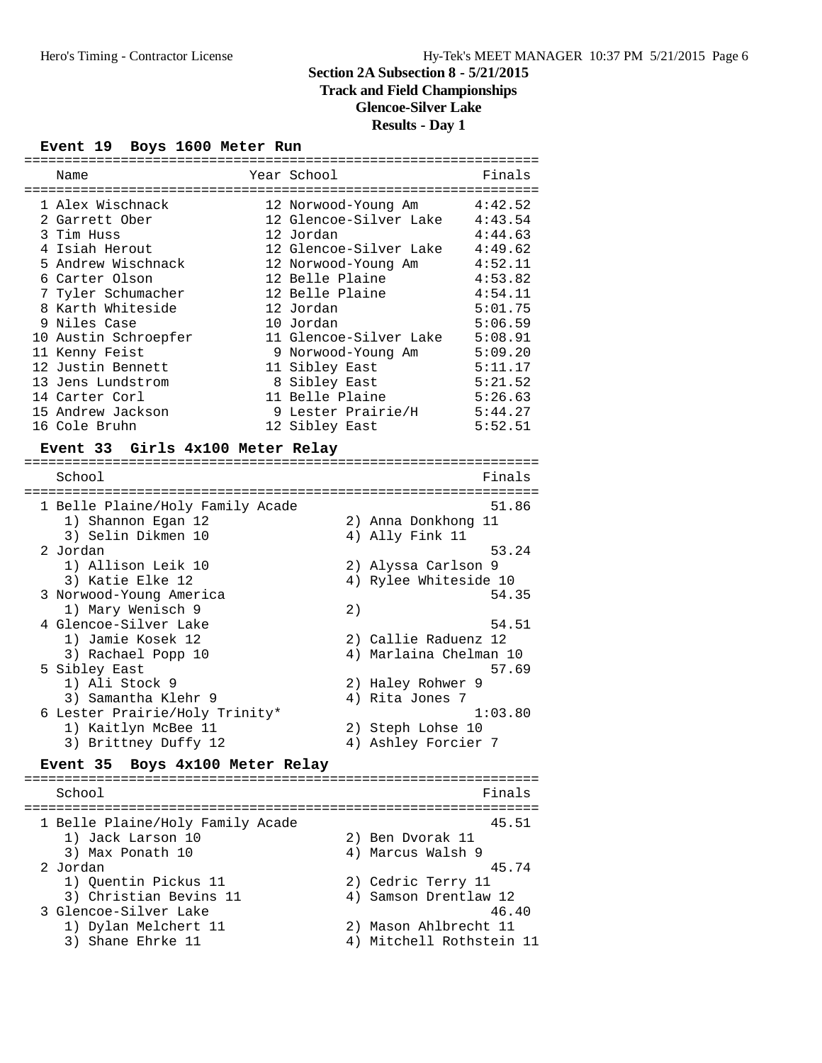# **Track and Field Championships**

**Glencoe-Silver Lake**

# **Results - Day 1**

#### **Event 19 Boys 1600 Meter Run**

| Name                 | Year School            | Finals  |
|----------------------|------------------------|---------|
|                      |                        |         |
| 1 Alex Wischnack     | 12 Norwood-Young Am    | 4:42.52 |
| 2 Garrett Ober       | 12 Glencoe-Silver Lake | 4:43.54 |
| 3 Tim Huss           | 12 Jordan              | 4:44.63 |
| 4 Isiah Herout       | 12 Glencoe-Silver Lake | 4:49.62 |
| 5 Andrew Wischnack   | 12 Norwood-Young Am    | 4:52.11 |
| 6 Carter Olson       | 12 Belle Plaine        | 4:53.82 |
| 7 Tyler Schumacher   | 12 Belle Plaine        | 4:54.11 |
| 8 Karth Whiteside    | 12 Jordan              | 5:01.75 |
| 9 Niles Case         | 10 Jordan              | 5:06.59 |
| 10 Austin Schroepfer | 11 Glencoe-Silver Lake | 5:08.91 |
| 11 Kenny Feist       | 9 Norwood-Young Am     | 5:09.20 |
| 12 Justin Bennett    | 11 Sibley East         | 5:11.17 |
| 13 Jens Lundstrom    | 8 Sibley East          | 5:21.52 |
| 14 Carter Corl       | 11 Belle Plaine        | 5:26.63 |
| 15 Andrew Jackson    | 9 Lester Prairie/H     | 5:44.27 |
| 16 Cole Bruhn        | 12 Sibley East         | 5:52.51 |

#### **Event 33 Girls 4x100 Meter Relay**

| School                           |    | Finals                 |
|----------------------------------|----|------------------------|
| 1 Belle Plaine/Holy Family Acade |    | 51.86                  |
| 1) Shannon Egan 12               |    | 2) Anna Donkhong 11    |
| 3) Selin Dikmen 10               |    | 4) Ally Fink 11        |
| 2 Jordan                         |    | 53.24                  |
| 1) Allison Leik 10               |    | 2) Alyssa Carlson 9    |
| 3) Katie Elke 12                 |    | 4) Rylee Whiteside 10  |
| 3 Norwood-Young America          |    | 54.35                  |
| 1) Mary Wenisch 9                | 2) |                        |
| 4 Glencoe-Silver Lake            |    | 54.51                  |
| 1) Jamie Kosek 12                |    | 2) Callie Raduenz 12   |
| 3) Rachael Popp 10               |    | 4) Marlaina Chelman 10 |
| 5 Sibley East                    |    | 57.69                  |
| 1) Ali Stock 9                   |    | 2) Haley Rohwer 9      |
| 3) Samantha Klehr 9              |    | 4) Rita Jones 7        |
| 6 Lester Prairie/Holy Trinity*   |    | 1:03.80                |
| 1) Kaitlyn McBee 11              |    | 2) Steph Lohse 10      |
| 3) Brittney Duffy 12             | 4) | Ashley Forcier 7       |

#### **Event 35 Boys 4x100 Meter Relay**

================================================================ School **Finals** ================================================================ 1 Belle Plaine/Holy Family Acade 45.51<br>1) Jack Larson 10 2) Ben Dvorak 11 1) Jack Larson 10 3) Max Ponath 10 4) Marcus Walsh 9 2 Jordan 45.74 1) Quentin Pickus 11 2) Cedric Terry 11 3) Christian Bevins 11 4) Samson Drentlaw 12 3 Glencoe-Silver Lake 46.40 1) Dylan Melchert 11 2) Mason Ahlbrecht 11 3) Shane Ehrke 11 4) Mitchell Rothstein 11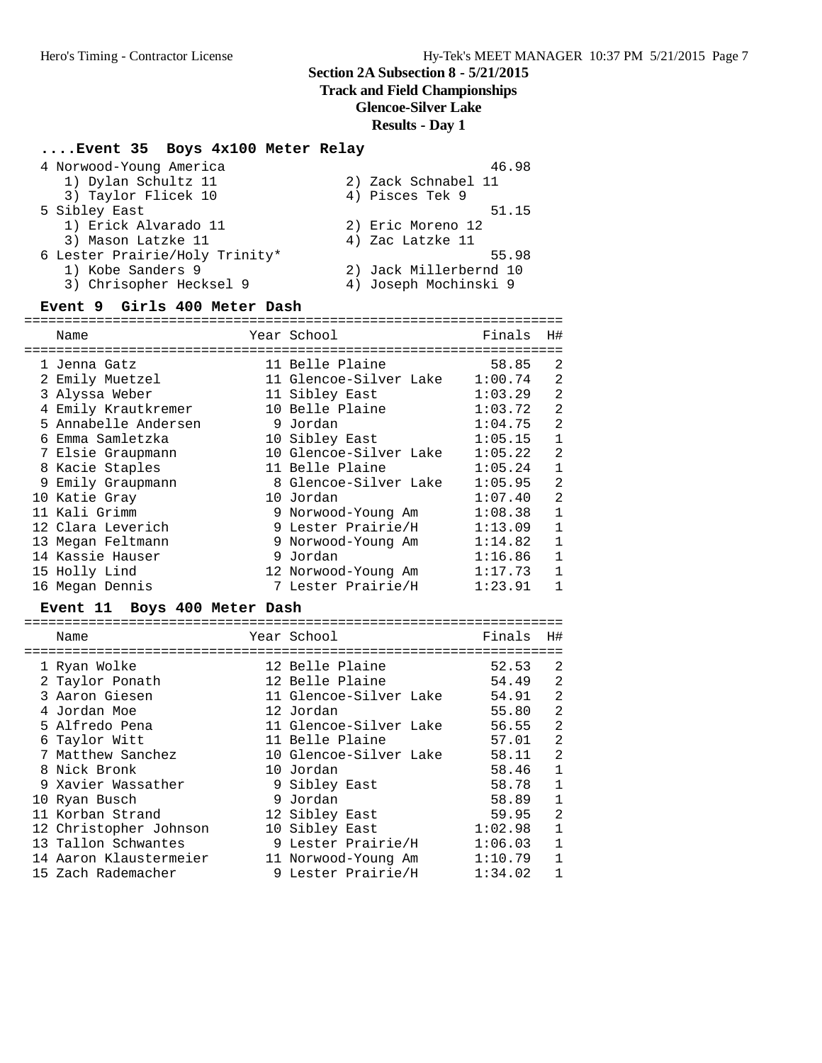#### **Track and Field Championships**

**Glencoe-Silver Lake**

#### **Results - Day 1**

### **....Event 35 Boys 4x100 Meter Relay**

| 4 Norwood-Young America        | 46.98                  |
|--------------------------------|------------------------|
| 1) Dylan Schultz 11            | 2) Zack Schnabel 11    |
| 3) Taylor Flicek 10            | 4) Pisces Tek 9        |
| 5 Sibley East                  | 51.15                  |
| 1) Erick Alvarado 11           | 2) Eric Moreno 12      |
| 3) Mason Latzke 11             | 4) Zac Latzke 11       |
| 6 Lester Prairie/Holy Trinity* | 55.98                  |
| 1) Kobe Sanders 9              | 2) Jack Millerbernd 10 |
| 3) Chrisopher Hecksel 9        | 4) Joseph Mochinski 9  |

#### **Event 9 Girls 400 Meter Dash**

=================================================================== Name Year School Finals H# =================================================================== 1 Jenna Gatz 11 Belle Plaine 58.85 2 2 Emily Muetzel 11 Glencoe-Silver Lake 1:00.74 2 3 Alyssa Weber 11 Sibley East 1:03.29 2 4 Emily Krautkremer 10 Belle Plaine 1:03.72 2 5 Annabelle Andersen 9 Jordan 1:04.75 2 6 Emma Samletzka 10 Sibley East 1:05.15 1 7 Elsie Graupmann 10 Glencoe-Silver Lake 1:05.22 2 8 Kacie Staples 11 Belle Plaine 1:05.24 1 9 Emily Graupmann 8 Glencoe-Silver Lake 1:05.95 2 10 Katie Gray 10 Jordan 1:07.40 2 11 Kali Grimm 9 Norwood-Young Am 1:08.38 1 12 Clara Leverich 9 Lester Prairie/H 1:13.09 1 13 Megan Feltmann 9 Norwood-Young Am 1:14.82 1 14 Kassie Hauser 9 Jordan 1:16.86 1 15 Holly Lind 12 Norwood-Young Am 1:17.73 1 16 Megan Dennis 7 Lester Prairie/H 1:23.91 1

#### **Event 11 Boys 400 Meter Dash**

| Name                   | Year School            | Finals  | H#             |
|------------------------|------------------------|---------|----------------|
|                        |                        |         |                |
| 1 Ryan Wolke           | 12 Belle Plaine        | 52.53   | 2              |
| 2 Taylor Ponath        | 12 Belle Plaine        | 54.49   | 2              |
| 3 Aaron Giesen         | 11 Glencoe-Silver Lake | 54.91   | 2              |
| 4 Jordan Moe           | 12 Jordan              | 55.80   | $\overline{a}$ |
| 5 Alfredo Pena         | 11 Glencoe-Silver Lake | 56.55   | $\overline{a}$ |
| 6 Taylor Witt          | 11 Belle Plaine        | 57.01   | 2              |
| 7 Matthew Sanchez      | 10 Glencoe-Silver Lake | 58.11   | 2              |
| 8 Nick Bronk           | 10 Jordan              | 58.46   | 1              |
| 9 Xavier Wassather     | 9 Sibley East          | 58.78   | 1              |
| 10 Ryan Busch          | 9 Jordan               | 58.89   | 1              |
| 11 Korban Strand       | 12 Sibley East         | 59.95   | $\overline{2}$ |
| 12 Christopher Johnson | 10 Sibley East         | 1:02.98 | $\mathbf 1$    |
| 13 Tallon Schwantes    | 9 Lester Prairie/H     | 1:06.03 | $\mathbf{1}$   |
| 14 Aaron Klaustermeier | 11 Norwood-Young Am    | 1:10.79 | 1              |
| 15 Zach Rademacher     | 9 Lester Prairie/H     | 1:34.02 |                |
|                        |                        |         |                |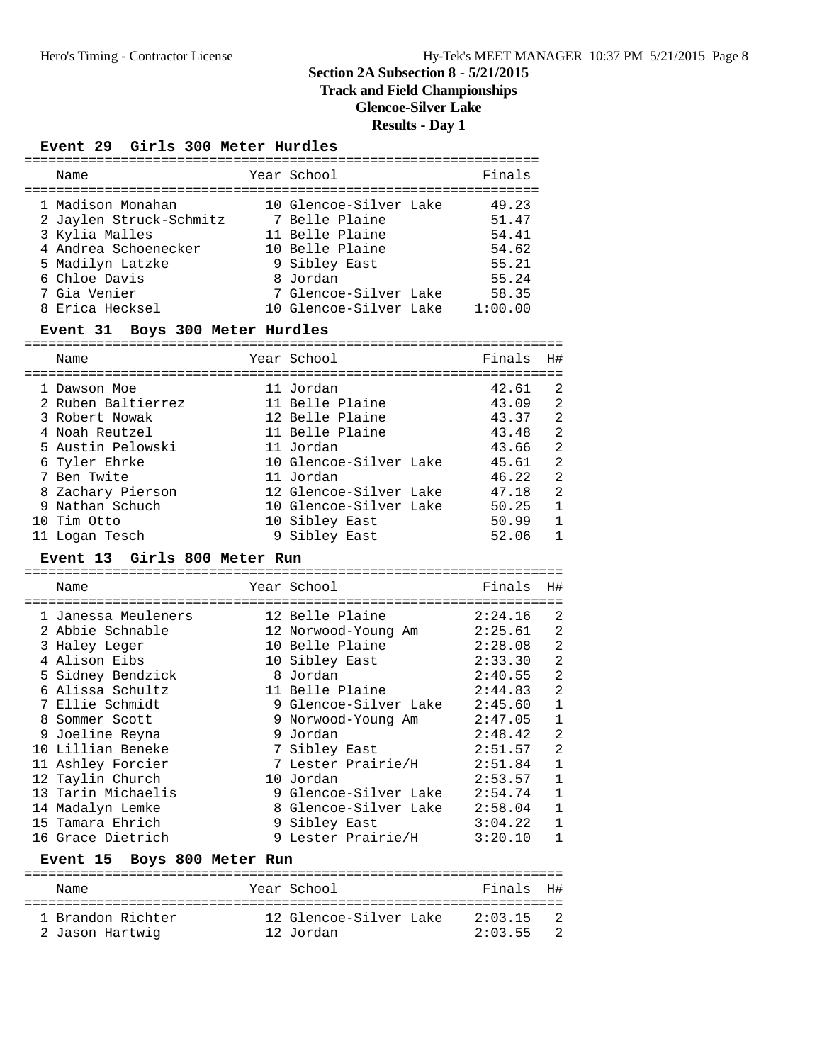### **Track and Field Championships**

**Glencoe-Silver Lake**

# **Results - Day 1**

#### **Event 29 Girls 300 Meter Hurdles**

| Name                                    | Year School                    | Finals                                 |                |
|-----------------------------------------|--------------------------------|----------------------------------------|----------------|
| 1 Madison Monahan                       | 10 Glencoe-Silver Lake         | 49.23                                  |                |
| 2 Jaylen Struck-Schmitz 7 Belle Plaine  |                                | 51.47                                  |                |
| 3 Kylia Malles                          | 11 Belle Plaine                | 54.41                                  |                |
| 4 Andrea Schoenecker 10 Belle Plaine    |                                | 54.62                                  |                |
| 5 Madilyn Latzke                        | 9 Sibley East                  | 55.21                                  |                |
| 6 Chloe Davis                           | 8 Jordan                       | 55.24                                  |                |
| 7 Gia Venier                            | 7 Glencoe-Silver Lake 58.35    |                                        |                |
| 8 Erica Hecksel                         | 10 Glencoe-Silver Lake 1:00.00 |                                        |                |
| Event 31 Boys 300 Meter Hurdles         |                                | ===================                    |                |
| Name                                    | Year School                    | Finals                                 | H#             |
| :======================<br>1 Dawson Moe | 11 Jordan                      | =============================<br>42.61 | $\overline{2}$ |
| 2 Ruben Baltierrez                      | 11 Belle Plaine                | 43.09                                  | $\overline{a}$ |
| 3 Robert Nowak                          | 12 Belle Plaine                | 43.37                                  | $\overline{c}$ |
| 4 Noah Reutzel                          | 11 Belle Plaine                | 43.48                                  | $\overline{a}$ |
| 5 Austin Pelowski                       | 11 Jordan                      | 43.66                                  | $\overline{2}$ |
| 6 Tyler Ehrke                           | 10 Glencoe-Silver Lake 45.61   |                                        | $\overline{a}$ |
| 7 Ben Twite                             | 11 Jordan                      | 46.22                                  | $\overline{a}$ |
| 8 Zachary Pierson                       | 12 Glencoe-Silver Lake 47.18   |                                        | $\overline{a}$ |
| 9 Nathan Schuch                         | 10 Glencoe-Silver Lake 50.25   |                                        | $\mathbf{1}$   |
| 10 Tim Otto                             | 10 Sibley East                 | 50.99                                  | $\mathbf 1$    |
|                                         |                                |                                        |                |

#### 11 Logan Tesch 1 9 Sibley East 52.06 1

**Event 13 Girls 800 Meter Run** ===================================================================

| Name                        | Year School                | Finals  | H#             |
|-----------------------------|----------------------------|---------|----------------|
| 1 Janessa Meuleners         | 12 Belle Plaine            | 2:24.16 | $\overline{2}$ |
| 2 Abbie Schnable            | 12 Norwood-Young Am        | 2:25.61 | $\overline{a}$ |
| 3 Haley Leger               | 10 Belle Plaine            | 2:28.08 | $\overline{a}$ |
| 4 Alison Eibs               | 10 Sibley East             | 2:33.30 | $\overline{a}$ |
| 5 Sidney Bendzick           | 8 Jordan                   | 2:40.55 | $\overline{a}$ |
| 6 Alissa Schultz            | 11 Belle Plaine            | 2:44.83 | $\overline{a}$ |
| 7 Ellie Schmidt             | 9 Glencoe-Silver Lake      | 2:45.60 | $\mathbf{1}$   |
| 8 Sommer Scott              | 9 Norwood-Young Am 2:47.05 |         | $\mathbf 1$    |
| 9 Joeline Reyna             | 9 Jordan                   | 2:48.42 | $\overline{a}$ |
| 10 Lillian Beneke           | 7 Sibley East              | 2:51.57 | $\overline{a}$ |
| 11 Ashley Forcier           | 7 Lester Prairie/H         | 2:51.84 | $\mathbf{1}$   |
| 12 Taylin Church            | 10 Jordan                  | 2:53.57 | $\mathbf{1}$   |
| 13 Tarin Michaelis          | 9 Glencoe-Silver Lake      | 2:54.74 | $\mathbf{1}$   |
| 14 Madalyn Lemke            | 8 Glencoe-Silver Lake      | 2:58.04 | $\mathbf 1$    |
| 15 Tamara Ehrich            | 9 Sibley East              | 3:04.22 | $\mathbf{1}$   |
| 16 Grace Dietrich           | 9 Lester Prairie/H 3:20.10 |         | 1              |
| Event 15 Boys 800 Meter Run |                            |         |                |

#### =================================================================== Name Year School Finals H# =================================================================== 1 Brandon Richter 12 Glencoe-Silver Lake 2:03.15 2 2 Jason Hartwig 12 Jordan 2:03.55 2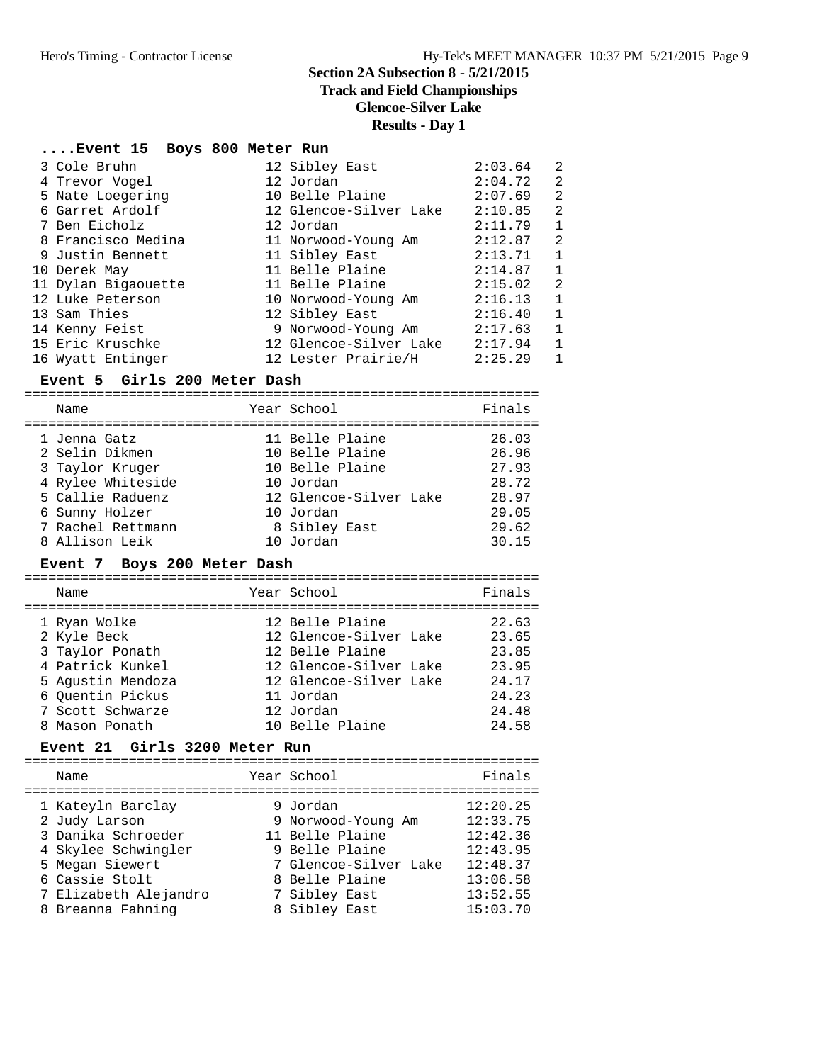**Track and Field Championships**

# **Glencoe-Silver Lake**

#### **Results - Day 1**

# **....Event 15 Boys 800 Meter Run**

| 3 Cole Bruhn        | 12 Sibley East         | 2:03.64 | 2            |
|---------------------|------------------------|---------|--------------|
| 4 Trevor Vogel      | 12 Jordan              | 2:04.72 | 2            |
| 5 Nate Loegering    | 10 Belle Plaine        | 2:07.69 | 2            |
| 6 Garret Ardolf     | 12 Glencoe-Silver Lake | 2:10.85 | 2            |
| 7 Ben Eicholz       | 12 Jordan              | 2:11.79 | $\mathbf{1}$ |
| 8 Francisco Medina  | 11 Norwood-Young Am    | 2:12.87 | 2            |
| 9 Justin Bennett    | 11 Sibley East         | 2:13.71 | $\mathbf{1}$ |
| 10 Derek May        | 11 Belle Plaine        | 2:14.87 | $\mathbf{1}$ |
| 11 Dylan Bigaouette | 11 Belle Plaine        | 2:15.02 | 2            |
| 12 Luke Peterson    | 10 Norwood-Young Am    | 2:16.13 | $\mathbf{1}$ |
| 13 Sam Thies        | 12 Sibley East         | 2:16.40 | $\mathbf{1}$ |
| 14 Kenny Feist      | 9 Norwood-Young Am     | 2:17.63 | $\mathbf{1}$ |
| 15 Eric Kruschke    | 12 Glencoe-Silver Lake | 2:17.94 | $\mathbf{1}$ |
| 16 Wyatt Entinger   | 12 Lester Prairie/H    | 2:25.29 | $\mathbf{1}$ |

#### **Event 5 Girls 200 Meter Dash**

| Name                               | Year School                         | Finals         |
|------------------------------------|-------------------------------------|----------------|
| 1 Jenna Gatz<br>2 Selin Dikmen     | 11 Belle Plaine<br>10 Belle Plaine  | 26.03<br>26.96 |
| 3 Taylor Kruger                    | 10 Belle Plaine                     | 27.93          |
| 4 Rylee Whiteside                  | 10 Jordan                           | 28.72          |
| 5 Callie Raduenz<br>6 Sunny Holzer | 12 Glencoe-Silver Lake<br>10 Jordan | 28.97<br>29.05 |
| 7 Rachel Rettmann                  | 8 Sibley East                       | 29.62          |
| 8 Allison Leik                     | 10 Jordan                           | 30.15          |

### **Event 7 Boys 200 Meter Dash**

| Name                        | Year School                               | Finals         |
|-----------------------------|-------------------------------------------|----------------|
| 1 Ryan Wolke<br>2 Kyle Beck | 12 Belle Plaine<br>12 Glencoe-Silver Lake | 22.63<br>23.65 |
| 3 Taylor Ponath             | 12 Belle Plaine                           | 23.85          |
| 4 Patrick Kunkel            | 12 Glencoe-Silver Lake                    | 23.95          |
| 5 Agustin Mendoza           | 12 Glencoe-Silver Lake                    | 24.17          |
| 6 Ouentin Pickus            | 11 Jordan                                 | 24.23          |
| 7 Scott Schwarze            | 12 Jordan                                 | 24.48          |
| 8 Mason Ponath              | 10 Belle Plaine                           | 24.58          |

### **Event 21 Girls 3200 Meter Run**

| Name                                                                                                                 | Year School                                                                                                    | Finals                                                               |
|----------------------------------------------------------------------------------------------------------------------|----------------------------------------------------------------------------------------------------------------|----------------------------------------------------------------------|
| 1 Kateyln Barclay<br>2 Judy Larson<br>3 Danika Schroeder<br>4 Skylee Schwingler<br>5 Megan Siewert<br>6 Cassie Stolt | 9 Jordan<br>9 Norwood-Young Am<br>11 Belle Plaine<br>9 Belle Plaine<br>7 Glencoe-Silver Lake<br>8 Belle Plaine | 12:20.25<br>12:33.75<br>12:42.36<br>12:43.95<br>12:48.37<br>13:06.58 |
| 7 Elizabeth Alejandro                                                                                                | 7 Sibley East                                                                                                  | 13:52.55                                                             |
| 8 Breanna Fahning                                                                                                    | 8 Sibley East                                                                                                  | 15:03.70                                                             |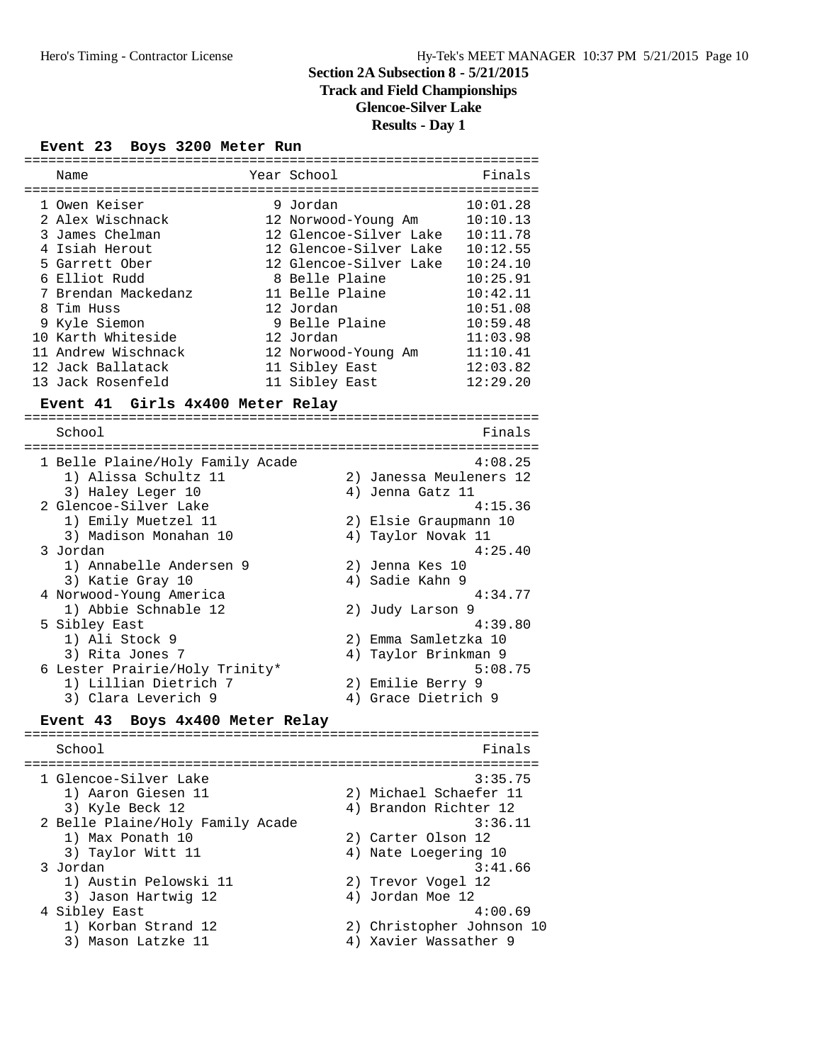### **Track and Field Championships**

**Glencoe-Silver Lake**

# **Results - Day 1**

#### **Event 23 Boys 3200 Meter Run**

| Name                | Year School            | Finals   |
|---------------------|------------------------|----------|
| 1 Owen Keiser       | 9 Jordan               | 10:01.28 |
| 2 Alex Wischnack    | 12 Norwood-Young Am    | 10:10.13 |
| 3 James Chelman     | 12 Glencoe-Silver Lake | 10:11.78 |
| 4 Isiah Herout      | 12 Glencoe-Silver Lake | 10:12.55 |
| 5 Garrett Ober      | 12 Glencoe-Silver Lake | 10:24.10 |
| 6 Elliot Rudd       | 8 Belle Plaine         | 10:25.91 |
| 7 Brendan Mackedanz | 11 Belle Plaine        | 10:42.11 |
| 8 Tim Huss          | 12 Jordan              | 10:51.08 |
| 9 Kyle Siemon       | 9 Belle Plaine         | 10:59.48 |
| 10 Karth Whiteside  | 12 Jordan              | 11:03.98 |
| 11 Andrew Wischnack | 12 Norwood-Young Am    | 11:10.41 |
| 12 Jack Ballatack   | 11 Sibley East         | 12:03.82 |
| 13 Jack Rosenfeld   | 11 Sibley East         | 12:29.20 |

#### **Event 41 Girls 4x400 Meter Relay**

================================================================ School Finals ================================================================ 1 Belle Plaine/Holy Family Acade 4:08.25 1) Alissa Schultz 11 2) Janessa Meuleners 12 3) Haley Leger 10 (4) Jenna Gatz 11 2 Glencoe-Silver Lake 4:15.36 1) Emily Muetzel 11 2) Elsie Graupmann 10 3) Madison Monahan 10  $\hskip1cm$  4) Taylor Novak 11 3 Jordan 4:25.40 1) Annabelle Andersen 9 2) Jenna Kes 10 3) Katie Gray 10 12 12 13 13 14 Sadie Kahn 9 4 Norwood-Young America 4:34.77<br>
1) Abbie Schnable 12 (2) Judy Larson 9 1) Abbie Schnable 12 5 Sibley East 4:39.80<br>1) Ali Stock 9 2) Emma Samletzka 10 2) Emma Samletzka 10 3) Rita Jones 7 (1998) 1996 (1998) 4 Avr 19 Taylor Brinkman 9 6 Lester Prairie/Holy Trinity\* 5:08.75 1) Lillian Dietrich 7 2) Emilie Berry 9 3) Clara Leverich 9 (4) Grace Dietrich 9

#### **Event 43 Boys 4x400 Meter Relay** ================================================================

School **Finals** ================================================================ 1 Glencoe-Silver Lake 3:35.75 1) Aaron Giesen 11 2) Michael Schaefer 11 3) Kyle Beck 12 4) Brandon Richter 12 2 Belle Plaine/Holy Family Acade 3:36.11 1) Max Ponath 10 2) Carter Olson 12 3) Taylor Witt 11 4) Nate Loegering 10 3 Jordan 3:41.66 1) Austin Pelowski 11 2) Trevor Vogel 12 3) Jason Hartwig 12 (4) Jordan Moe 12 4 Sibley East 4:00.69 1) Korban Strand 12 2) Christopher Johnson 10 3) Mason Latzke 11 4) Xavier Wassather 9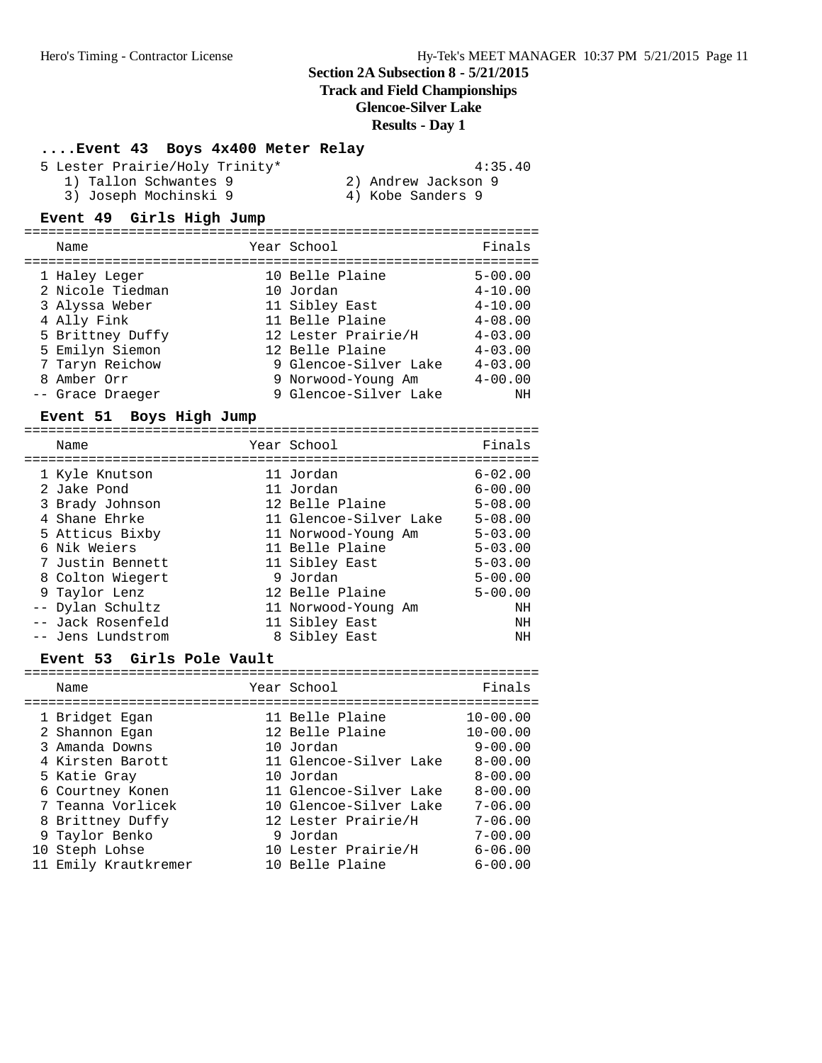# **Track and Field Championships**

### **Glencoe-Silver Lake**

### **Results - Day 1**

# **....Event 43 Boys 4x400 Meter Relay**

| 5 Lester Prairie/Holy Trinity* | 4:35.40             |
|--------------------------------|---------------------|
| 1) Tallon Schwantes 9          | 2) Andrew Jackson 9 |
| 3) Joseph Mochinski 9          | 4) Kobe Sanders 9   |

### **Event 49 Girls High Jump**

| Name             | Year School           | Finals      |
|------------------|-----------------------|-------------|
| 1 Haley Leger    | 10 Belle Plaine       | $5 - 00.00$ |
| 2 Nicole Tiedman | 10 Jordan             | $4 - 10.00$ |
| 3 Alyssa Weber   | 11 Sibley East        | $4 - 10.00$ |
| 4 Ally Fink      | 11 Belle Plaine       | $4 - 08.00$ |
| 5 Brittney Duffy | 12 Lester Prairie/H   | $4 - 03.00$ |
| 5 Emilyn Siemon  | 12 Belle Plaine       | $4 - 03.00$ |
| 7 Taryn Reichow  | 9 Glencoe-Silver Lake | $4 - 03.00$ |
| 8 Amber Orr      | 9 Norwood-Young Am    | $4 - 00.00$ |
| -- Grace Draeger | 9 Glencoe-Silver Lake | NΗ          |
|                  |                       |             |

### Event 51 Boys High Jump

| Name              | Year School            | Finals      |
|-------------------|------------------------|-------------|
| 1 Kyle Knutson    | 11 Jordan              | $6 - 02.00$ |
| 2 Jake Pond       | 11 Jordan              | $6 - 00.00$ |
| 3 Brady Johnson   | 12 Belle Plaine        | $5 - 08.00$ |
| 4 Shane Ehrke     | 11 Glencoe-Silver Lake | $5 - 08.00$ |
| 5 Atticus Bixby   | 11 Norwood-Young Am    | $5 - 03.00$ |
| 6 Nik Weiers      | 11 Belle Plaine        | $5 - 03.00$ |
| 7 Justin Bennett  | 11 Sibley East         | $5 - 03.00$ |
| 8 Colton Wiegert  | 9 Jordan               | $5 - 00.00$ |
| 9 Taylor Lenz     | 12 Belle Plaine        | $5 - 00.00$ |
| -- Dylan Schultz  | 11 Norwood-Young Am    | ΝH          |
| -- Jack Rosenfeld | 11 Sibley East         | ΝH          |
| -- Jens Lundstrom | 8 Sibley East          | ΝH          |

### **Event 53 Girls Pole Vault**

| Name                             | Year School                        | Finals                       |
|----------------------------------|------------------------------------|------------------------------|
| 1 Bridget Egan<br>2 Shannon Egan | 11 Belle Plaine<br>12 Belle Plaine | $10 - 00.00$<br>$10 - 00.00$ |
| 3 Amanda Downs                   | 10 Jordan                          | $9 - 00.00$                  |
| 4 Kirsten Barott                 | 11 Glencoe-Silver Lake             | $8 - 00.00$                  |
| 5 Katie Gray                     | 10 Jordan                          | $8 - 00.00$                  |
| 6 Courtney Konen                 | 11 Glencoe-Silver Lake             | $8 - 00.00$                  |
| 7 Teanna Vorlicek                | 10 Glencoe-Silver Lake             | $7 - 06.00$                  |
| 8 Brittney Duffy                 | 12 Lester Prairie/H                | $7 - 06.00$                  |
| 9 Taylor Benko                   | 9 Jordan                           | $7 - 00.00$                  |
| 10 Steph Lohse                   | 10 Lester Prairie/H                | $6 - 06.00$                  |
| 11 Emily Krautkremer             | 10 Belle Plaine                    | $6 - 00.00$                  |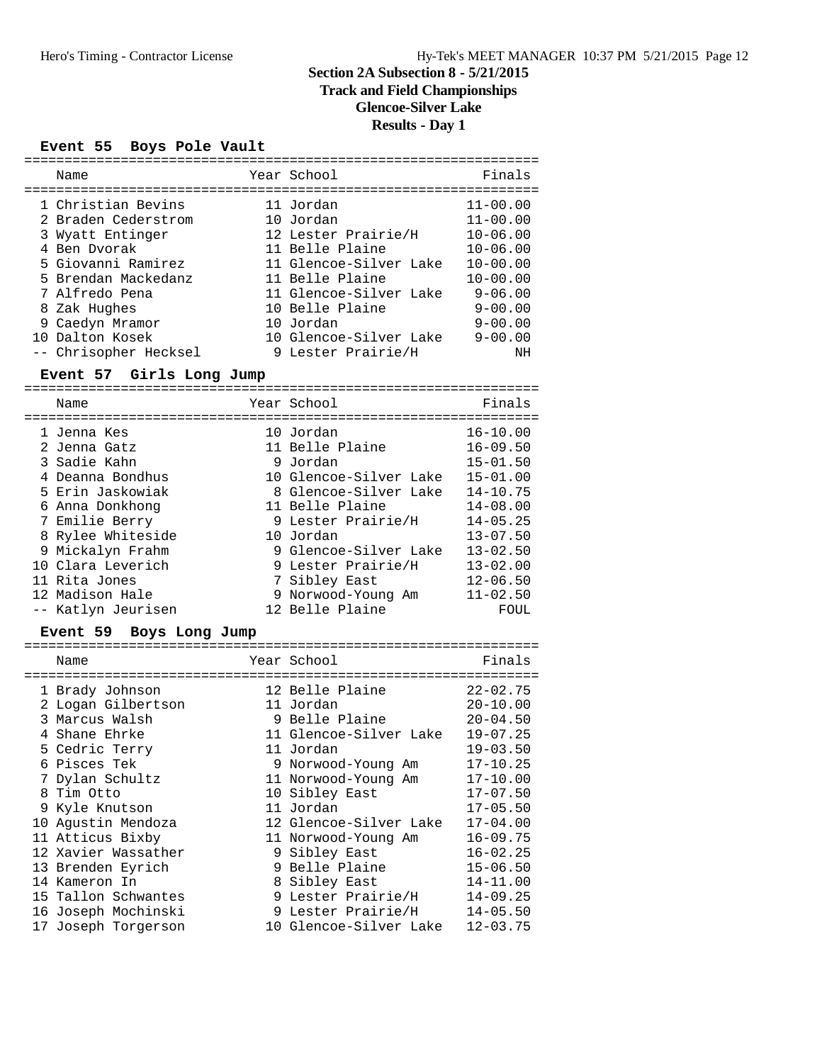# **Track and Field Championships**

**Glencoe-Silver Lake**

### **Results - Day 1**

### **Event 55 Boys Pole Vault**

| Name                  | Year School            | Finals       |
|-----------------------|------------------------|--------------|
| 1 Christian Bevins    | 11 Jordan              | $11 - 00.00$ |
| 2 Braden Cederstrom   | 10 Jordan              | $11 - 00.00$ |
| 3 Wyatt Entinger      | 12 Lester Prairie/H    | $10 - 06.00$ |
| 4 Ben Dyorak          | 11 Belle Plaine        | $10 - 06.00$ |
| 5 Giovanni Ramirez    | 11 Glencoe-Silver Lake | $10 - 00.00$ |
| 5 Brendan Mackedanz   | 11 Belle Plaine        | $10 - 00.00$ |
| 7 Alfredo Pena        | 11 Glencoe-Silver Lake | $9 - 06.00$  |
| 8 Zak Hughes          | 10 Belle Plaine        | $9 - 00.00$  |
| 9 Caedyn Mramor       | 10 Jordan              | $9 - 00.00$  |
| 10 Dalton Kosek       | 10 Glencoe-Silver Lake | $9 - 00.00$  |
| -- Chrisopher Hecksel | 9 Lester Prairie/H     | ΝH           |

# **Event 57 Girls Long Jump**

| Name                        | Year School                  | Finals                       |
|-----------------------------|------------------------------|------------------------------|
| 1 Jenna Kes<br>2 Jenna Gatz | 10 Jordan<br>11 Belle Plaine | $16 - 10.00$<br>$16 - 09.50$ |
| 3 Sadie Kahn                | 9 Jordan                     | $15 - 01.50$                 |
| 4 Deanna Bondhus            | 10 Glencoe-Silver Lake       | $15 - 01.00$                 |
| 5 Erin Jaskowiak            | 8 Glencoe-Silver Lake        | $14 - 10.75$                 |
| 6 Anna Donkhong             | 11 Belle Plaine              | $14 - 08.00$                 |
| 7 Emilie Berry              | 9 Lester Prairie/H           | $14 - 05.25$                 |
| 8 Rylee Whiteside           | 10 Jordan                    | $13 - 07.50$                 |
| 9 Mickalyn Frahm            | 9 Glencoe-Silver Lake        | $13 - 02.50$                 |
| 10 Clara Leverich           | 9 Lester Prairie/H           | $13 - 02.00$                 |
| 11 Rita Jones               | 7 Sibley East                | $12 - 06.50$                 |
| 12 Madison Hale             | 9 Norwood-Young Am           | $11 - 02.50$                 |
| -- Katlyn Jeurisen          | 12 Belle Plaine              | FOUL                         |

### **Event 59 Boys Long Jump**

| Name                | Year School            | Finals       |
|---------------------|------------------------|--------------|
| 1 Brady Johnson     | 12 Belle Plaine        | $22 - 02.75$ |
| 2 Logan Gilbertson  | 11 Jordan              | $20 - 10.00$ |
| 3 Marcus Walsh      | 9 Belle Plaine         | $20 - 04.50$ |
| 4 Shane Ehrke       | 11 Glencoe-Silver Lake | $19 - 07.25$ |
| 5 Cedric Terry      | 11 Jordan              | $19 - 03.50$ |
| 6 Pisces Tek        | 9 Norwood-Young Am     | $17 - 10.25$ |
| 7 Dylan Schultz     | 11 Norwood-Young Am    | $17 - 10.00$ |
| 8 Tim Otto          | 10 Sibley East         | $17 - 07.50$ |
| 9 Kyle Knutson      | 11 Jordan              | $17 - 05.50$ |
| 10 Aqustin Mendoza  | 12 Glencoe-Silver Lake | $17 - 04.00$ |
| 11 Atticus Bixby    | 11 Norwood-Young Am    | $16 - 09.75$ |
| 12 Xavier Wassather | 9 Sibley East          | $16 - 02.25$ |
| 13 Brenden Eyrich   | 9 Belle Plaine         | $15 - 06.50$ |
| 14 Kameron In       | 8 Sibley East          | $14 - 11.00$ |
| 15 Tallon Schwantes | 9 Lester Prairie/H     | $14 - 09.25$ |
| 16 Joseph Mochinski | 9 Lester Prairie/H     | $14 - 05.50$ |
| 17 Joseph Torgerson | 10 Glencoe-Silver Lake | $12 - 03.75$ |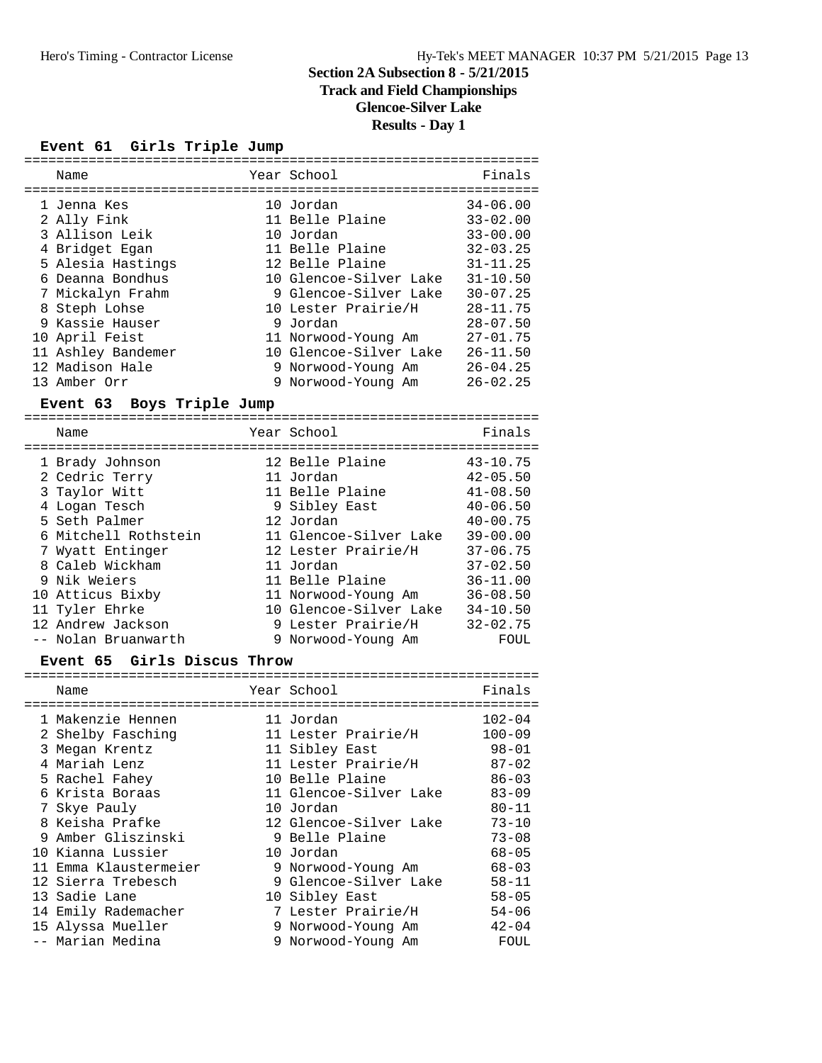### **Track and Field Championships**

**Glencoe-Silver Lake**

**Results - Day 1**

#### **Event 61 Girls Triple Jump**

| Name               | Year School            | Finals       |
|--------------------|------------------------|--------------|
| 1 Jenna Kes        | 10 Jordan              | $34 - 06.00$ |
| 2 Ally Fink        | 11 Belle Plaine        | $33 - 02.00$ |
| 3 Allison Leik     | 10 Jordan              | $33 - 00.00$ |
| 4 Bridget Egan     | 11 Belle Plaine        | $32 - 03.25$ |
| 5 Alesia Hastings  | 12 Belle Plaine        | $31 - 11.25$ |
| 6 Deanna Bondhus   | 10 Glencoe-Silver Lake | $31 - 10.50$ |
| 7 Mickalyn Frahm   | 9 Glencoe-Silver Lake  | $30 - 07.25$ |
| 8 Steph Lohse      | 10 Lester Prairie/H    | $28 - 11.75$ |
| 9 Kassie Hauser    | 9 Jordan               | $28 - 07.50$ |
| 10 April Feist     | 11 Norwood-Young Am    | $27 - 01.75$ |
| 11 Ashley Bandemer | 10 Glencoe-Silver Lake | $26 - 11.50$ |
| 12 Madison Hale    | 9 Norwood-Young Am     | $26 - 04.25$ |
| 13 Amber Orr       | 9 Norwood-Young Am     | $26 - 02.25$ |

#### **Event 63 Boys Triple Jump**

================================================================ Name Year School Finals ================================================================ 1 Brady Johnson 12 Belle Plaine 43-10.75 2 Cedric Terry 11 Jordan 42-05.50 3 Taylor Witt 11 Belle Plaine 41-08.50 4 Logan Tesch 9 Sibley East 40-06.50 5 Seth Palmer 12 Jordan 40-00.75 6 Mitchell Rothstein 11 Glencoe-Silver Lake 39-00.00 7 Wyatt Entinger 12 Lester Prairie/H 37-06.75 8 Caleb Wickham 11 Jordan 37-02.50 9 Nik Weiers 11 Belle Plaine 36-11.00 10 Atticus Bixby 11 Norwood-Young Am 36-08.50 11 Tyler Ehrke 10 Glencoe-Silver Lake 34-10.50 12 Andrew Jackson 9 Lester Prairie/H 32-02.75 -- Nolan Bruanwarth 9 Norwood-Young Am FOUL

#### **Event 65 Girls Discus Throw**

| Name                  | Year School            | Finals     |
|-----------------------|------------------------|------------|
| 1 Makenzie Hennen     | 11 Jordan              | $102 - 04$ |
| 2 Shelby Fasching     | 11 Lester Prairie/H    | $100 - 09$ |
| 3 Megan Krentz        | 11 Sibley East         | $98 - 01$  |
| 4 Mariah Lenz         | 11 Lester Prairie/H    | $87 - 02$  |
| 5 Rachel Fahey        | 10 Belle Plaine        | $86 - 03$  |
| 6 Krista Boraas       | 11 Glencoe-Silver Lake | $83 - 09$  |
| 7 Skye Pauly          | 10 Jordan              | $80 - 11$  |
| 8 Keisha Prafke       | 12 Glencoe-Silver Lake | $73 - 10$  |
| 9 Amber Gliszinski    | 9 Belle Plaine         | $73 - 08$  |
| 10 Kianna Lussier     | 10 Jordan              | $68 - 05$  |
| 11 Emma Klaustermeier | 9 Norwood-Young Am     | $68 - 03$  |
| 12 Sierra Trebesch    | 9 Glencoe-Silver Lake  | $58 - 11$  |
| 13 Sadie Lane         | 10 Sibley East         | $58 - 05$  |
| 14 Emily Rademacher   | 7 Lester Prairie/H     | $54 - 06$  |
| 15 Alyssa Mueller     | 9 Norwood-Young Am     | $42 - 04$  |
| -- Marian Medina      | 9 Norwood-Young Am     | FOUL       |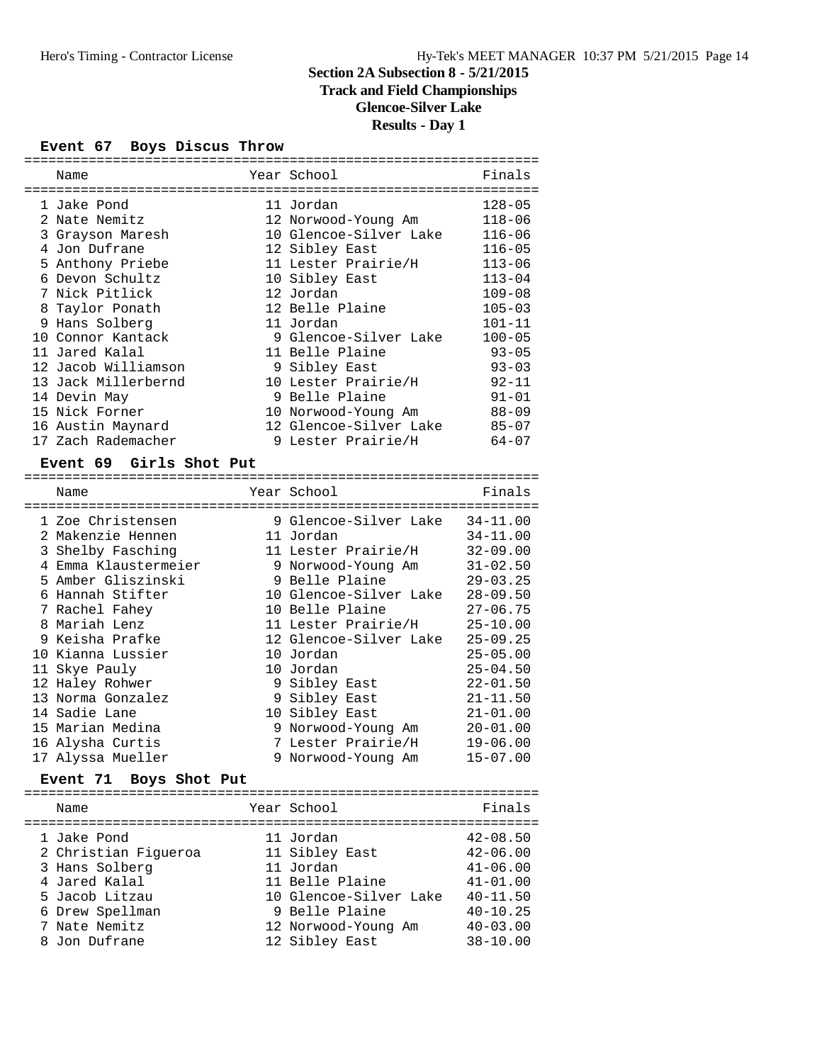# **Track and Field Championships**

**Glencoe-Silver Lake**

# **Results - Day 1**

#### **Event 67 Boys Discus Throw**

| Name                    | Year School            | Finals       |
|-------------------------|------------------------|--------------|
|                         |                        |              |
| 1 Jake Pond             | 11 Jordan              | $128 - 05$   |
| 2 Nate Nemitz           | 12 Norwood-Young Am    | $118 - 06$   |
| 3 Grayson Maresh        | 10 Glencoe-Silver Lake | $116 - 06$   |
| 4 Jon Dufrane           | 12 Sibley East         | $116 - 05$   |
| 5 Anthony Priebe        | 11 Lester Prairie/H    | $113 - 06$   |
| 6 Devon Schultz         | 10 Sibley East         | $113 - 04$   |
| 7 Nick Pitlick          | 12 Jordan              | $109 - 08$   |
| 8 Taylor Ponath         | 12 Belle Plaine        | $105 - 03$   |
| 9 Hans Solberg          | 11 Jordan              | $101 - 11$   |
| 10 Connor Kantack       | 9 Glencoe-Silver Lake  | $100 - 05$   |
| 11 Jared Kalal          | 11 Belle Plaine        | $93 - 05$    |
| 12 Jacob Williamson     | 9 Sibley East          | $93 - 03$    |
| 13 Jack Millerbernd     | 10 Lester Prairie/H    | $92 - 11$    |
| 14 Devin May            | 9 Belle Plaine         | $91 - 01$    |
| 15 Nick Forner          | 10 Norwood-Young Am    | $88 - 09$    |
| 16 Austin Maynard       | 12 Glencoe-Silver Lake | $85 - 07$    |
| 17 Zach Rademacher      | 9 Lester Prairie/H     | $64 - 07$    |
| Event 69 Girls Shot Put |                        |              |
|                         |                        |              |
| Name                    | Year School            | Finals       |
|                         |                        |              |
| 1 Zoe Christensen       | 9 Glencoe-Silver Lake  | $34 - 11.00$ |
| 2 Makenzie Hennen       | 11 Jordan              | $34 - 11.00$ |
| 3 Shelby Fasching       | 11 Lester Prairie/H    | $32 - 09.00$ |
| 4 Emma Klaustermeier    | 9 Norwood-Young Am     | $31 - 02.50$ |
| 5 Amber Gliszinski      | 9 Belle Plaine         | $29 - 03.25$ |
| 6 Hannah Stifter        | 10 Glencoe-Silver Lake | $28 - 09.50$ |
| 7 Rachel Fahey          | 10 Belle Plaine        | $27 - 06.75$ |
| 8 Mariah Lenz           | 11 Lester Prairie/H    | $25 - 10.00$ |
| 9 Keisha Prafke         | 12 Glencoe-Silver Lake | $25 - 09.25$ |
| 10 Kianna Lussier       | 10 Jordan              | $25 - 05.00$ |
| 11 Skye Pauly           | 10 Jordan              | $25 - 04.50$ |

| 11 Skye Pauly     |  | 10 Jordan          | $25 - 04.50$ |
|-------------------|--|--------------------|--------------|
| 12 Haley Rohwer   |  | 9 Sibley East      | $22 - 01.50$ |
| 13 Norma Gonzalez |  | 9 Sibley East      | $21 - 11.50$ |
| 14 Sadie Lane     |  | 10 Sibley East     | $21 - 01.00$ |
| 15 Marian Medina  |  | 9 Norwood-Young Am | $20 - 01.00$ |
| 16 Alysha Curtis  |  | 7 Lester Prairie/H | $19 - 06.00$ |
| 17 Alyssa Mueller |  | 9 Norwood-Young Am | $15 - 07.00$ |
|                   |  |                    |              |

# **Event 71 Boys Shot Put**

| Name                 | Year School            | Finals       |
|----------------------|------------------------|--------------|
| 1 Jake Pond          | 11 Jordan              | $42 - 08.50$ |
| 2 Christian Fiqueroa | 11 Sibley East         | $42 - 06.00$ |
| 3 Hans Solberg       | 11 Jordan              | $41 - 06.00$ |
| 4 Jared Kalal        | 11 Belle Plaine        | $41 - 01.00$ |
| 5 Jacob Litzau       | 10 Glencoe-Silver Lake | $40 - 11.50$ |
| 6 Drew Spellman      | 9 Belle Plaine         | $40 - 10.25$ |
| 7 Nate Nemitz        | 12 Norwood-Young Am    | $40 - 03.00$ |
| 8 Jon Dufrane        | 12 Sibley East         | $38 - 10.00$ |